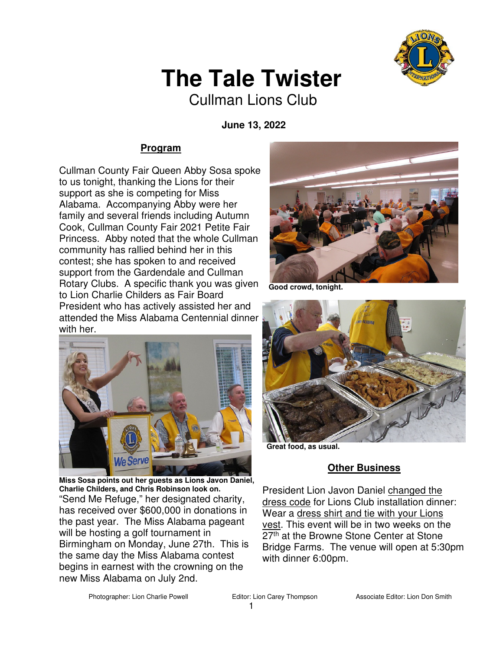

# **The Tale Twister**

Cullman Lions Club

 **June 13, 2022** 

### **Program**

Cullman County Fair Queen Abby Sosa spoke to us tonight, thanking the Lions for their support as she is competing for Miss Alabama. Accompanying Abby were her family and several friends including Autumn Cook, Cullman County Fair 2021 Petite Fair Princess. Abby noted that the whole Cullman community has rallied behind her in this contest; she has spoken to and received support from the Gardendale and Cullman Rotary Clubs. A specific thank you was given to Lion Charlie Childers as Fair Board President who has actively assisted her and attended the Miss Alabama Centennial dinner with her.



**Miss Sosa points out her guests as Lions Javon Daniel, Charlie Childers, and Chris Robinson look on.**  "Send Me Refuge," her designated charity, has received over \$600,000 in donations in the past year. The Miss Alabama pageant will be hosting a golf tournament in Birmingham on Monday, June 27th. This is the same day the Miss Alabama contest begins in earnest with the crowning on the new Miss Alabama on July 2nd.



Good crowd, tonight



 **Great food, as usual.**

### **Other Business**

President Lion Javon Daniel changed the dress code for Lions Club installation dinner: Wear a dress shirt and tie with your Lions vest. This event will be in two weeks on the 27<sup>th</sup> at the Browne Stone Center at Stone Bridge Farms. The venue will open at 5:30pm with dinner 6:00pm.